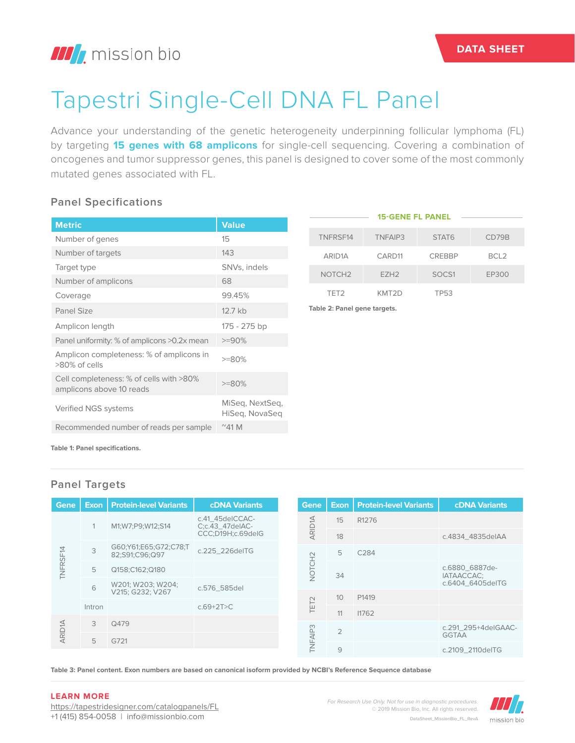# Tapestri Single-Cell DNA FL Panel

Advance your understanding of the genetic heterogeneity underpinning follicular lymphoma (FL) by targeting **15 genes with 68 amplicons** for single-cell sequencing. Covering a combination of oncogenes and tumor suppressor genes, this panel is designed to cover some of the most commonly mutated genes associated with FL.

## **Panel Specifications**

|                                                                     |                                   |                              | <b>15-GENE FL PANEL</b> |               |                  |
|---------------------------------------------------------------------|-----------------------------------|------------------------------|-------------------------|---------------|------------------|
| <b>Metric</b>                                                       | <b>Value</b>                      |                              |                         |               |                  |
| Number of genes                                                     | 15                                | TNFRSF14                     | TNFAIP3                 | STAT6         | CD79B            |
| Number of targets                                                   | 143                               | ARID <sub>1</sub> A          | CARD11                  | <b>CREBBP</b> | BCL <sub>2</sub> |
| Target type                                                         | SNVs, indels                      | NOTCH <sub>2</sub>           | EZH <sub>2</sub>        | SOCS1         | EP300            |
| Number of amplicons                                                 | 68                                |                              |                         |               |                  |
| Coverage                                                            | 99.45%                            | TET <sub>2</sub>             | KMT2D                   | <b>TP53</b>   |                  |
| Panel Size                                                          | 12.7 kb                           | Table 2: Panel gene targets. |                         |               |                  |
| Amplicon length                                                     | 175 - 275 bp                      |                              |                         |               |                  |
| Panel uniformity: % of amplicons >0.2x mean                         | $>=90%$                           |                              |                         |               |                  |
| Amplicon completeness: % of amplicons in<br>$>80\%$ of cells        | $>=80%$                           |                              |                         |               |                  |
| Cell completeness: % of cells with >80%<br>amplicons above 10 reads | $>=80%$                           |                              |                         |               |                  |
| Verified NGS systems                                                | MiSeq, NextSeq,<br>HiSeg, NovaSeg |                              |                         |               |                  |
| Recommended number of reads per sample                              | $^{\circ}$ 41 M                   |                              |                         |               |                  |

**Table 1: Panel specifications.**

### **Panel Targets**

| <b>Gene</b>        |        | <b>Exon   Protein-level Variants</b>    | <b>cDNA Variants</b>               |                | Gene             | Exon $\vert$    | <b>Protein-level Variants</b>       | <b>cDNA Variants</b> |
|--------------------|--------|-----------------------------------------|------------------------------------|----------------|------------------|-----------------|-------------------------------------|----------------------|
|                    |        | M1;W7;P9;W12;S14                        | c.41_45delCCAC-<br>C;c.43_47delAC- |                | <b>ARID1A</b>    | 15              | R <sub>1276</sub>                   |                      |
|                    |        |                                         | CCC;D19H;c.69delG                  |                |                  | 18              |                                     | c.4834 4835delAA     |
|                    | 3      | G60;Y61;E65;G72;C78;T<br>82;S91;C96;Q97 | c.225 226delTG                     |                |                  | 5               | C <sub>284</sub>                    |                      |
| TNFRSF14<br>5<br>6 |        | Q158;C162;Q180                          |                                    | <b>NOTCH2</b>  | 34               |                 | c.6880_6887de-<br>IATAACCAC;        |                      |
|                    |        | W201; W203; W204;                       | c.576 585del                       |                |                  |                 |                                     | c.6404_6405delTG     |
|                    |        | V215: G232: V267                        |                                    |                |                  | 10 <sup>°</sup> | P1419                               |                      |
|                    | Intron |                                         | $c.69 + 2T > C$                    |                | TET <sub>2</sub> | 11              | 11762                               |                      |
|                    | 3      | Q479                                    |                                    |                |                  |                 |                                     |                      |
| <b>ARID1A</b>      |        |                                         |                                    | <b>TNFAIP3</b> | $\overline{2}$   |                 | c.291 295+4delGAAC-<br><b>GGTAA</b> |                      |
|                    | 5      | G721                                    |                                    |                |                  |                 |                                     |                      |
|                    |        |                                         |                                    |                |                  | 9               |                                     | c.2109 2110delTG     |

**Table 3: Panel content. Exon numbers are based on canonical isoform provided by NCBI's Reference Sequence database**

#### **LEARN MORE**

https://tapestridesigner.com/catalogpanels/FL +1 (415) 854-0058 | info@missionbio.com